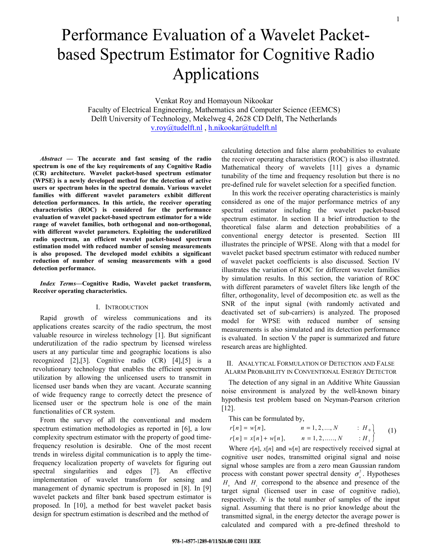# Performance Evaluation of a Wavelet Packetbased Spectrum Estimator for Cognitive Radio Applications

Venkat Roy and Homayoun Nikookar Faculty of Electrical Engineering, Mathematics and Computer Science (EEMCS) Delft University of Technology, Mekelweg 4, 2628 CD Delft, The Netherlands v.roy@tudelft.nl , h.nikookar@tudelft.nl

*Abstract* **! The accurate and fast sensing of the radio spectrum is one of the key requirements of any Cognitive Radio (CR) architecture. Wavelet packet-based spectrum estimator (WPSE) is a newly developed method for the detection of active users or spectrum holes in the spectral domain. Various wavelet families with different wavelet parameters exhibit different detection performances. In this article, the receiver operating characteristics (ROC) is considered for the performance evaluation of wavelet packet-based spectrum estimator for a wide range of wavelet families, both orthogonal and non-orthogonal, with different wavelet parameters. Exploiting the underutilized radio spectrum, an efficient wavelet packet-based spectrum estimation model with reduced number of sensing measurements is also proposed. The developed model exhibits a significant reduction of number of sensing measurements with a good detection performance.** 

*Index Terms***!Cognitive Radio, Wavelet packet transform, Receiver operating characteristics.** 

## I. INTRODUCTION

Rapid growth of wireless communications and its applications creates scarcity of the radio spectrum, the most valuable resource in wireless technology [1]. But significant underutilization of the radio spectrum by licensed wireless users at any particular time and geographic locations is also recognized [2],[3]. Cognitive radio (CR) [4],[5] is a revolutionary technology that enables the efficient spectrum utilization by allowing the unlicensed users to transmit in licensed user bands when they are vacant. Accurate scanning of wide frequency range to correctly detect the presence of licensed user or the spectrum hole is one of the main functionalities of CR system.

From the survey of all the conventional and modern spectrum estimation methodologies as reported in [6], a low complexity spectrum estimator with the property of good timefrequency resolution is desirable. One of the most recent trends in wireless digital communication is to apply the timefrequency localization property of wavelets for figuring out spectral singularities and edges [7]. An effective implementation of wavelet transform for sensing and management of dynamic spectrum is proposed in [8]. In [9] wavelet packets and filter bank based spectrum estimator is proposed. In [10], a method for best wavelet packet basis design for spectrum estimation is described and the method of

calculating detection and false alarm probabilities to evaluate the receiver operating characteristics (ROC) is also illustrated. Mathematical theory of wavelets [11] gives a dynamic tunability of the time and frequency resolution but there is no pre-defined rule for wavelet selection for a specified function.

 In this work the receiver operating characteristics is mainly considered as one of the major performance metrics of any spectral estimator including the wavelet packet-based spectrum estimator. In section II a brief introduction to the theoretical false alarm and detection probabilities of a conventional energy detector is presented. Section III illustrates the principle of WPSE. Along with that a model for wavelet packet based spectrum estimator with reduced number of wavelet packet coefficients is also discussed. Section IV illustrates the variation of ROC for different wavelet families by simulation results. In this section, the variation of ROC with different parameters of wavelet filters like length of the filter, orthogonality, level of decomposition etc. as well as the SNR of the input signal (with randomly activated and deactivated set of sub-carriers) is analyzed. The proposed model for WPSE with reduced number of sensing measurements is also simulated and its detection performance is evaluated. In section V the paper is summarized and future research areas are highlighted.

#### II. ANALYTICAL FORMULATION OF DETECTION AND FALSE ALARM PROBABILITY IN CONVENTIONAL ENERGY DETECTOR

The detection of any signal in an Additive White Gaussian noise environment is analyzed by the well-known binary hypothesis test problem based on Neyman-Pearson criterion [12].

This can be formulated by,

| $r[n] = w[n],$        | $n = 1, 2, , N$       | $:H_{0}$     | (1) |
|-----------------------|-----------------------|--------------|-----|
| $r[n] = x[n] + w[n],$ | $n = 1, 2, \ldots, N$ | $:H_+\bigl[$ |     |

Where  $r[n]$ ,  $x[n]$  and  $w[n]$  are respectively received signal at cognitive user nodes, transmitted original signal and noise signal whose samples are from a zero mean Gaussian random process with constant power spectral density  $\sigma_n^2$ . Hypotheses *H*<sub>0</sub> And *H*<sub>1</sub> correspond to the absence and presence of the target signal (licensed user in case of cognitive radio), respectively. *N* is the total number of samples of the input signal. Assuming that there is no prior knowledge about the transmitted signal, in the energy detector the average power is calculated and compared with a pre-defined threshold to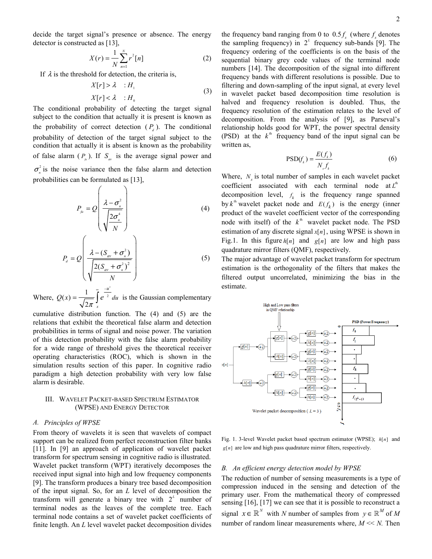decide the target signal's presence or absence. The energy detector is constructed as [13],

$$
X(r) = \frac{1}{N} \sum_{n=1}^{N} r^{2}[n]
$$
 (2)

If  $\lambda$  is the threshold for detection, the criteria is,

$$
X[r] > \lambda : H_1
$$
  
 
$$
X[r] < \lambda : H_0
$$
 (3)

The conditional probability of detecting the target signal subject to the condition that actually it is present is known as the probability of correct detection  $(P_a)$ . The conditional probability of detection of the target signal subject to the condition that actually it is absent is known as the probability of false alarm  $(P_a)$ . If  $S_a$  is the average signal power and  $\sigma_n^2$  is the noise variance then the false alarm and detection probabilities can be formulated as [13],

$$
P_{j_a} = Q \left( \frac{\lambda - \sigma_n^2}{\sqrt{\frac{2\sigma_n^4}{N}}} \right) \tag{4}
$$

$$
P_a = Q \left( \frac{\lambda - (S_{av} + \sigma_n^2)}{\sqrt{\frac{2(S_{av} + \sigma_n^2)^2}{N}}} \right)
$$
 (5)

Where,  $f(x) = \frac{1}{\sqrt{2}} \int_{0}^{\infty} e^{-\frac{u^2}{2}} dx$  $2\pi \frac{J}{x}$ *u*  $Q(x) = \frac{1}{x}$   $e^{2} du$ π  $=\frac{1}{\sqrt{2}} \int e^{\frac{-u^2}{2}} du$  is the Gaussian complementary

cumulative distribution function. The (4) and (5) are the relations that exhibit the theoretical false alarm and detection probabilities in terms of signal and noise power. The variation of this detection probability with the false alarm probability for a wide range of threshold gives the theoretical receiver operating characteristics (ROC), which is shown in the simulation results section of this paper. In cognitive radio paradigm a high detection probability with very low false alarm is desirable.

## III. WAVELET PACKET-BASED SPECTRUM ESTIMATOR (WPSE) AND ENERGY DETECTOR

#### *A. Principles of WPSE*

From theory of wavelets it is seen that wavelets of compact support can be realized from perfect reconstruction filter banks [11]. In [9] an approach of application of wavelet packet transform for spectrum sensing in cognitive radio is illustrated. Wavelet packet transform (WPT) iteratively decomposes the received input signal into high and low frequency components [9]. The transform produces a binary tree based decomposition of the input signal. So, for an *L* level of decomposition the transform will generate a binary tree with  $2<sup>L</sup>$  number of terminal nodes as the leaves of the complete tree. Each terminal node contains a set of wavelet packet coefficients of finite length. An *L* level wavelet packet decomposition divides

the frequency band ranging from 0 to  $0.5 f<sub>s</sub>$  (where  $f<sub>s</sub>$  denotes the sampling frequency) in  $2^L$  frequency sub-bands [9]. The frequency ordering of the coefficients is on the basis of the sequential binary grey code values of the terminal node numbers [14]. The decomposition of the signal into different frequency bands with different resolutions is possible. Due to filtering and down-sampling of the input signal, at every level in wavelet packet based decomposition time resolution is halved and frequency resolution is doubled. Thus, the frequency resolution of the estimation relates to the level of decomposition. From the analysis of  $[9]$ , as Parseval's relationship holds good for WPT, the power spectral density (PSD) at the  $k^{\text{th}}$  frequency band of the input signal can be written as,

$$
\text{PSD}(f_k) = \frac{E(f_k)}{N_s f_k} \tag{6}
$$

Where,  $N<sub>s</sub>$  is total number of samples in each wavelet packet coefficient associated with each terminal node at L<sup>th</sup> decomposition level,  $f_k$  is the frequency range spanned by  $k^{\text{th}}$  wavelet packet node and  $E(f_k)$  is the energy (inner product of the wavelet coefficient vector of the corresponding node with itself) of the  $k^{\text{th}}$  wavelet packet node. The PSD estimation of any discrete signal  $x[n]$ , using WPSE is shown in Fig.1. In this figure  $h[n]$  and  $g[n]$  are low and high pass quadrature mirror filters (QMF), respectively.

The major advantage of wavelet packet transform for spectrum estimation is the orthogonality of the filters that makes the filtered output uncorrelated, minimizing the bias in the estimate.



Fig. 1. 3-level Wavelet packet based spectrum estimator (WPSE);  $h[n]$  and  $g[n]$  are low and high pass quadrature mirror filters, respectively.

## *B. An efficient energy detection model by WPSE*

The reduction of number of sensing measurements is a type of compression induced in the sensing and detection of the primary user. From the mathematical theory of compressed sensing [16], [17] we can see that it is possible to reconstruct a signal  $x \in \mathbb{R}^N$  with *N* number of samples from  $y \in \mathbb{R}^M$  of *M* number of random linear measurements where,  $M \ll N$ . Then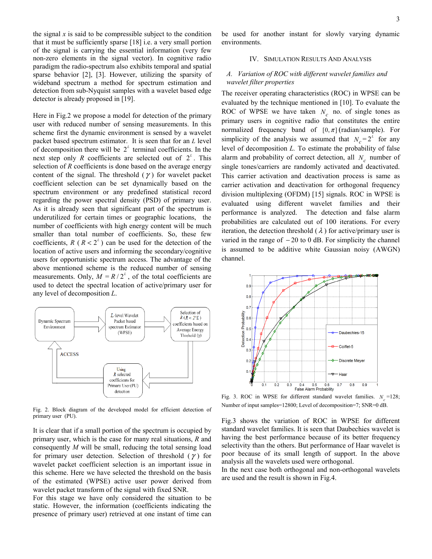the signal  $x$  is said to be compressible subject to the condition that it must be sufficiently sparse [18] i.e. a very small portion of the signal is carrying the essential information (very few non-zero elements in the signal vector). In cognitive radio paradigm the radio-spectrum also exhibits temporal and spatial sparse behavior [2], [3]. However, utilizing the sparsity of wideband spectrum a method for spectrum estimation and detection from sub-Nyquist samples with a wavelet based edge detector is already proposed in [19].

Here in Fig.2 we propose a model for detection of the primary user with reduced number of sensing measurements. In this scheme first the dynamic environment is sensed by a wavelet packet based spectrum estimator. It is seen that for an *L* level of decomposition there will be  $2<sup>L</sup>$  terminal coefficients. In the next step only *R* coefficients are selected out of  $2<sup>L</sup>$ . This selection of *R* coefficients is done based on the average energy content of the signal. The threshold  $(\gamma)$  for wavelet packet coefficient selection can be set dynamically based on the spectrum environment or any predefined statistical record regarding the power spectral density (PSD) of primary user. As it is already seen that significant part of the spectrum is underutilized for certain times or geographic locations, the number of coefficients with high energy content will be much smaller than total number of coefficients. So, these few coefficients,  $R$  ( $R < 2<sup>L</sup>$ ) can be used for the detection of the location of active users and informing the secondary/cognitive users for opportunistic spectrum access. The advantage of the above mentioned scheme is the reduced number of sensing measurements. Only,  $M = R/2^L$ , of the total coefficients are used to detect the spectral location of active/primary user for any level of decomposition *L*.



Fig. 2. Block diagram of the developed model for efficient detection of primary user (PU).

It is clear that if a small portion of the spectrum is occupied by primary user, which is the case for many real situations, *R* and consequently *M* will be small, reducing the total sensing load for primary user detection. Selection of threshold  $(\gamma)$  for wavelet packet coefficient selection is an important issue in this scheme. Here we have selected the threshold on the basis of the estimated (WPSE) active user power derived from wavelet packet transform of the signal with fixed SNR.

For this stage we have only considered the situation to be static. However, the information (coefficients indicating the presence of primary user) retrieved at one instant of time can

#### IV. SIMULATION RESULTS AND ANALYSIS

## *A. Variation of ROC with different wavelet families and wavelet filter properties*

The receiver operating characteristics (ROC) in WPSE can be evaluated by the technique mentioned in [10]. To evaluate the ROC of WPSE we have taken  $N_c$  no. of single tones as primary users in cognitive radio that constitutes the entire normalized frequency band of  $[0, \pi]$  (radian/sample). For simplicity of the analysis we assumed that  $N_c = 2^L$  for any level of decomposition *L.* To estimate the probability of false alarm and probability of correct detection, all  $N_c$  number of single tones/carriers are randomly activated and deactivated. This carrier activation and deactivation process is same as carrier activation and deactivation for orthogonal frequency division multiplexing (OFDM) [15] signals. ROC in WPSE is evaluated using different wavelet families and their performance is analyzed. The detection and false alarm probabilities are calculated out of 100 iterations. For every iteration, the detection threshold  $(\lambda)$  for active/primary user is varied in the range of  $-20$  to 0 dB. For simplicity the channel is assumed to be additive white Gaussian noisy (AWGN) channel.



Fig. 3. ROC in WPSE for different standard wavelet families.  $N_c = 128$ ; Number of input samples=12800; Level of decomposition=7; SNR=0 dB.

Fig.3 shows the variation of ROC in WPSE for different standard wavelet families. It is seen that Daubechies wavelet is having the best performance because of its better frequency selectivity than the others. But performance of Haar wavelet is poor because of its small length of support. In the above analysis all the wavelets used were orthogonal.

In the next case both orthogonal and non-orthogonal wavelets are used and the result is shown in Fig.4.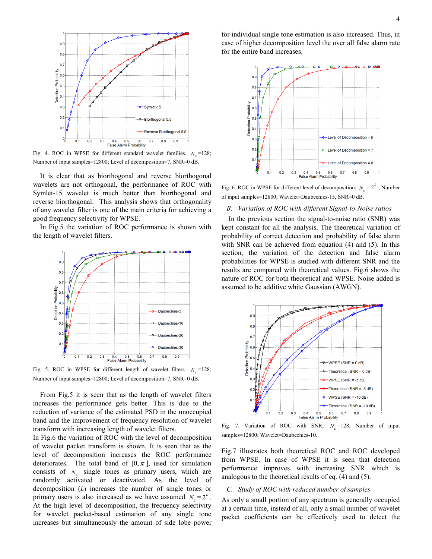

Fig. 4. ROC in WPSE for different standard wavelet families.  $N = 128$ ; Number of input samples=12800; Level of decomposition=7, SNR=0 dB.

It is clear that as biorthogonal and reverse biorthogonal wavelets are not orthogonal, the performance of ROC with Symlet-15 wavelet is much better than biorthogonal and reverse biorthogonal. This analysis shows that orthogonality of any wavelet filter is one of the main criteria for achieving a good frequency selectivity for WPSE.

In Fig.5 the variation of ROC performance is shown with the length of wavelet filters.



Fig. 5. ROC in WPSE for different length of wavelet filters.  $N_c = 128$ ; Number of input samples=12800; Level of decomposition=7, SNR=0 dB.

From Fig.5 it is seen that as the length of wavelet filters increases the performance gets better. This is due to the reduction of variance of the estimated PSD in the unoccupied band and the improvement of frequency resolution of wavelet transform with increasing length of wavelet filters.

In Fig.6 the variation of ROC with the level of decomposition of wavelet packet transform is shown. It is seen that as the level of decomposition increases the ROC performance deteriorates. The total band of  $[0, \pi]$ , used for simulation consists of  $N_c$  single tones as primary users, which are randomly activated or deactivated. As the level of decomposition (*L*) increases the number of single tones or primary users is also increased as we have assumed  $N_c = 2^L$ . At the high level of decomposition, the frequency selectivity for wavelet packet-based estimation of any single tone increases but simultaneously the amount of side lobe power

for individual single tone estimation is also increased. Thus, in case of higher decomposition level the over all false alarm rate for the entire band increases.



Fig. 6. ROC in WPSE for different level of decomposition;  $N_c = 2^L$ ; Number of input samples=12800; Wavelet=Daubechies-15, SNR=0 dB.

## *B. Variation of ROC with different Signal-to-Noise ratios*

In the previous section the signal-to-noise ratio (SNR) was kept constant for all the analysis. The theoretical variation of probability of correct detection and probability of false alarm with SNR can be achieved from equation (4) and (5). In this section, the variation of the detection and false alarm probabilities for WPSE is studied with different SNR and the results are compared with theoretical values. Fig.6 shows the nature of ROC for both theoretical and WPSE. Noise added is assumed to be additive white Gaussian (AWGN).



Fig. 7. Variation of ROC with SNR;  $N_c = 128$ ; Number of input samples=12800; Wavelet=Daubechies-10.

Fig.7 illustrates both theoretical ROC and ROC developed from WPSE. In case of WPSE it is seen that detection performance improves with increasing SNR which is analogous to the theoretical results of eq. (4) and (5).

## *C. Study of ROC with reduced number of samples*

As only a small portion of any spectrum is generally occupied at a certain time, instead of all, only a small number of wavelet packet coefficients can be effectively used to detect the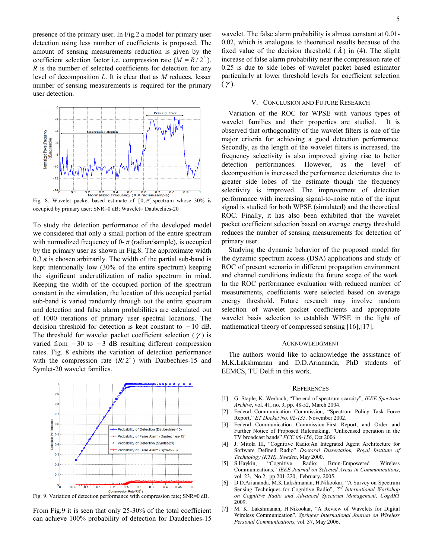presence of the primary user. In Fig.2 a model for primary user detection using less number of coefficients is proposed. The amount of sensing measurements reduction is given by the coefficient selection factor i.e. compression rate  $(M = R / 2^L)$ . *R* is the number of selected coefficients for detection for any level of decomposition *L*. It is clear that as *M* reduces, lesser number of sensing measurements is required for the primary user detection.



Fig. 8. Wavelet packet based estimate of  $[0, \pi]$  spectrum whose 30% is occupied by primary user; SNR=0 dB; Wavelet= Daubechies-20

To study the detection performance of the developed model we considered that only a small portion of the entire spectrum with normalized frequency of 0- $\pi$  (radian/sample), is occupied by the primary user as shown in Fig.8. The approximate width  $0.3 \pi$  is chosen arbitrarily. The width of the partial sub-band is kept intentionally low (30% of the entire spectrum) keeping the significant underutilization of radio spectrum in mind. Keeping the width of the occupied portion of the spectrum constant in the simulation, the location of this occupied partial sub-band is varied randomly through out the entire spectrum and detection and false alarm probabilities are calculated out of 1000 iterations of primary user spectral locations. The decision threshold for detection is kept constant to − 10 dB. The threshold for wavelet packet coefficient selection ( $\gamma$ ) is varied from  $-30$  to  $-3$  dB resulting different compression rates. Fig. 8 exhibits the variation of detection performance with the compression rate  $(R/2<sup>L</sup>)$  with Daubechies-15 and Symlet-20 wavelet families.



Exampression Rate(R/2<sup>1</sup>)<br>Fig. 9. Variation of detection performance with compression rate; SNR=0 dB.

From Fig.9 it is seen that only 25-30% of the total coefficient can achieve 100% probability of detection for Daudechies-15 wavelet. The false alarm probability is almost constant at 0.01- 0.02, which is analogous to theoretical results because of the fixed value of the decision threshold  $(\lambda)$  in (4). The slight increase of false alarm probability near the compression rate of 0.25 is due to side lobes of wavelet packet based estimator particularly at lower threshold levels for coefficient selection  $(\gamma)$ .

#### V. CONCLUSION AND FUTURE RESEARCH

Variation of the ROC for WPSE with various types of wavelet families and their properties are studied. It is observed that orthogonality of the wavelet filters is one of the major criteria for achieving a good detection performance. Secondly, as the length of the wavelet filters is increased, the frequency selectivity is also improved giving rise to better detection performances. However, as the level of decomposition is increased the performance deteriorates due to greater side lobes of the estimate though the frequency selectivity is improved. The improvement of detection performance with increasing signal-to-noise ratio of the input signal is studied for both WPSE (simulated) and the theoretical ROC. Finally, it has also been exhibited that the wavelet packet coefficient selection based on average energy threshold reduces the number of sensing measurements for detection of primary user.

Studying the dynamic behavior of the proposed model for the dynamic spectrum access (DSA) applications and study of ROC of present scenario in different propagation environment and channel conditions indicate the future scope of the work. In the ROC performance evaluation with reduced number of measurements, coefficients were selected based on average energy threshold. Future research may involve random selection of wavelet packet coefficients and appropriate wavelet basis selection to establish WPSE in the light of mathematical theory of compressed sensing [16],[17].

#### ACKNOWLEDGMENT

The authors would like to acknowledge the assistance of M.K.Lakshmanan and D.D.Ariananda, PhD students of EEMCS, TU Delft in this work.

#### **REFERENCES**

- [1] G. Staple, K. Werbach, "The end of spectrum scarcity", *IEEE Spectrum Archive*, vol. 41, no. 3, pp. 48-52, March 2004.
- [2] Federal Communication Commission, "Spectrum Policy Task Force Report,m *ET Docket No. 02-135,* November 2002.
- [3] Federal Communication Commission-First Report, and Order and Further Notice of Proposed Rulemaking, "Unlicensed operation in the TV broadcast bands" *FCC 06-156*, Oct 2006.
- [4] J. Mitola III, "Cognitive Radio:An Integrated Agent Architecture for Software Defined Radio" *Doctoral Dissertation*, Royal Institute of *Technology (KTH), Sweden*, May 2000.
- [5] S.Haykin, "Cognitive Radio: Brain-Empowered Wireless Communications," IEEE Journal on Selected Areas in Communications, vol. 23, No.2, pp.201-220, February, 2005.
- [6] D.D.Ariananda, M.K.Lakshmanan, H.Nikookar, "A Survey on Spectrum Sensing Techniques for Cognitive Radio", 2<sup>nd</sup> International Workshop *on Cognitive Radio and Advanced Spectrum Management, CogART* 2009.
- [7] M. K. Lakshmanan, H.Nikookar, "A Review of Wavelets for Digital Wireless Communication", *Springer International Journal on Wireless Personal Communications*, vol. 37, May 2006.